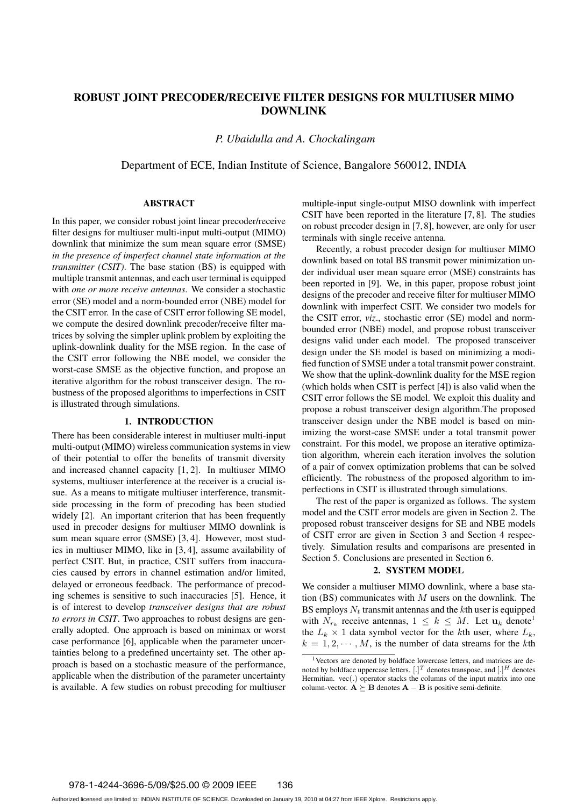# **ROBUST JOINT PRECODER/RECEIVE FILTER DESIGNS FOR MULTIUSER MIMO DOWNLINK**

*P. Ubaidulla and A. Chockalingam*

Department of ECE, Indian Institute of Science, Bangalore 560012, INDIA

#### **ABSTRACT**

In this paper, we consider robust joint linear precoder/receive filter designs for multiuser multi-input multi-output (MIMO) downlink that minimize the sum mean square error (SMSE) *in the presence of imperfect channel state information at the transmitter (CSIT)*. The base station (BS) is equipped with multiple transmit antennas, and each user terminal is equipped with *one or more receive antennas*. We consider a stochastic error (SE) model and a norm-bounded error (NBE) model for the CSIT error. In the case of CSIT error following SE model, we compute the desired downlink precoder/receive filter matrices by solving the simpler uplink problem by exploiting the uplink-downlink duality for the MSE region. In the case of the CSIT error following the NBE model, we consider the worst-case SMSE as the objective function, and propose an iterative algorithm for the robust transceiver design. The robustness of the proposed algorithms to imperfections in CSIT is illustrated through simulations.

# **1. INTRODUCTION**

There has been considerable interest in multiuser multi-input multi-output (MIMO) wireless communication systems in view of their potential to offer the benefits of transmit diversity and increased channel capacity [1, 2]. In multiuser MIMO systems, multiuser interference at the receiver is a crucial issue. As a means to mitigate multiuser interference, transmitside processing in the form of precoding has been studied widely [2]. An important criterion that has been frequently used in precoder designs for multiuser MIMO downlink is sum mean square error (SMSE) [3, 4]. However, most studies in multiuser MIMO, like in [3, 4], assume availability of perfect CSIT. But, in practice, CSIT suffers from inaccuracies caused by errors in channel estimation and/or limited, delayed or erroneous feedback. The performance of precoding schemes is sensitive to such inaccuracies [5]. Hence, it is of interest to develop *transceiver designs that are robust to errors in CSIT*. Two approaches to robust designs are generally adopted. One approach is based on minimax or worst case performance [6], applicable when the parameter uncertainties belong to a predefined uncertainty set. The other approach is based on a stochastic measure of the performance, applicable when the distribution of the parameter uncertainty is available. A few studies on robust precoding for multiuser

multiple-input single-output MISO downlink with imperfect CSIT have been reported in the literature [7, 8]. The studies on robust precoder design in [7, 8], however, are only for user terminals with single receive antenna.

Recently, a robust precoder design for multiuser MIMO downlink based on total BS transmit power minimization under individual user mean square error (MSE) constraints has been reported in [9]. We, in this paper, propose robust joint designs of the precoder and receive filter for multiuser MIMO downlink with imperfect CSIT. We consider two models for the CSIT error, *viz*., stochastic error (SE) model and normbounded error (NBE) model, and propose robust transceiver designs valid under each model. The proposed transceiver design under the SE model is based on minimizing a modified function of SMSE under a total transmit power constraint. We show that the uplink-downlink duality for the MSE region (which holds when CSIT is perfect [4]) is also valid when the CSIT error follows the SE model. We exploit this duality and propose a robust transceiver design algorithm.The proposed transceiver design under the NBE model is based on minimizing the worst-case SMSE under a total transmit power constraint. For this model, we propose an iterative optimization algorithm, wherein each iteration involves the solution of a pair of convex optimization problems that can be solved efficiently. The robustness of the proposed algorithm to imperfections in CSIT is illustrated through simulations.

The rest of the paper is organized as follows. The system model and the CSIT error models are given in Section 2. The proposed robust transceiver designs for SE and NBE models of CSIT error are given in Section 3 and Section 4 respectively. Simulation results and comparisons are presented in Section 5. Conclusions are presented in Section 6.

### **2. SYSTEM MODEL**

We consider a multiuser MIMO downlink, where a base station (BS) communicates with  $M$  users on the downlink. The BS employs  $N_t$  transmit antennas and the kth user is equipped with  $N_{r_k}$  receive antennas,  $1 \leq k \leq M$ . Let  $\mathbf{u}_k$  denote<sup>1</sup> the  $L_k \times 1$  data symbol vector for the kth user, where  $L_k$ ,  $k = 1, 2, \dots, M$ , is the number of data streams for the kth

<sup>&</sup>lt;sup>1</sup>Vectors are denoted by boldface lowercase letters, and matrices are denoted by boldface uppercase letters.  $[.]^T$  denotes transpose, and  $[.]^H$  denotes Hermitian. vec(.) operator stacks the columns of the input matrix into one column-vector.  $\mathbf{A} \succeq \mathbf{B}$  denotes  $\mathbf{A} - \mathbf{B}$  is positive semi-definite.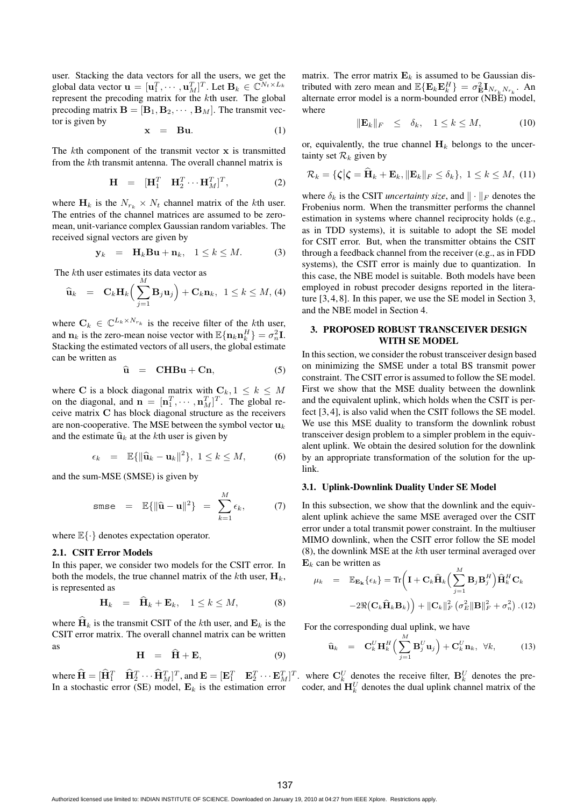user. Stacking the data vectors for all the users, we get the global data vector  $\mathbf{u} = [\mathbf{u}_1^T, \cdots, \mathbf{u}_M^T]^T$ . Let  $\mathbf{B}_k \in \mathbb{C}^{N_t \times L_k}$ represent the precoding matrix for the kth user. The global precoding matrix  $\mathbf{B} = [\mathbf{B}_1, \mathbf{B}_2, \cdots, \mathbf{B}_M]$ . The transmit vector is given by

$$
\mathbf{x} = \mathbf{B}\mathbf{u}.\tag{1}
$$

The kth component of the transmit vector **x** is transmitted from the kth transmit antenna. The overall channel matrix is

$$
\mathbf{H} = [\mathbf{H}_1^T \quad \mathbf{H}_2^T \cdots \mathbf{H}_M^T]^T, \tag{2}
$$

where  $\mathbf{H}_k$  is the  $N_{r_k} \times N_t$  channel matrix of the kth user. The entries of the channel matrices are assumed to be zeromean, unit-variance complex Gaussian random variables. The received signal vectors are given by

$$
\mathbf{y}_k = \mathbf{H}_k \mathbf{B} \mathbf{u} + \mathbf{n}_k, \quad 1 \le k \le M. \tag{3}
$$

The kth user estimates its data vector as

$$
\widehat{\mathbf{u}}_k = \mathbf{C}_k \mathbf{H}_k \Big( \sum_{j=1}^M \mathbf{B}_j \mathbf{u}_j \Big) + \mathbf{C}_k \mathbf{n}_k, \ \ 1 \leq k \leq M, \ (4)
$$

where  $C_k \in \mathbb{C}^{L_k \times N_{r_k}}$  is the receive filter of the kth user, and **n**<sub>k</sub> is the zero-mean noise vector with  $\mathbb{E}\{\mathbf{n}_k \mathbf{n}_k^H\} = \sigma_n^2 \mathbf{I}$ . Stacking the estimated vectors of all users, the global estimate can be written as

$$
\widehat{\mathbf{u}} = \mathbf{CHBu} + \mathbf{Cn}, \tag{5}
$$

where **C** is a block diagonal matrix with  $C_k$ ,  $1 \leq k \leq M$ on the diagonal, and  $\mathbf{n} = [\mathbf{n}_1^T, \cdots, \mathbf{n}_M^T]^T$ . The global receive matrix **C** has block diagonal structure as the receivers are non-cooperative. The MSE between the symbol vector  $\mathbf{u}_k$ and the estimate  $\hat{\mathbf{u}}_k$  at the *k*th user is given by

$$
\epsilon_k = \mathbb{E}\{\|\widehat{\mathbf{u}}_k - \mathbf{u}_k\|^2\}, \ 1 \le k \le M,\tag{6}
$$

and the sum-MSE (SMSE) is given by

$$
\text{smse} = \mathbb{E}\{\|\widehat{\mathbf{u}} - \mathbf{u}\|^2\} = \sum_{k=1}^M \epsilon_k, \tag{7}
$$

where  $\mathbb{E}\{\cdot\}$  denotes expectation operator.

## **2.1. CSIT Error Models**

In this paper, we consider two models for the CSIT error. In both the models, the true channel matrix of the kth user,  $\mathbf{H}_k$ , is represented as

$$
\mathbf{H}_k = \mathbf{H}_k + \mathbf{E}_k, \quad 1 \le k \le M,\tag{8}
$$

where  $H_k$  is the transmit CSIT of the kth user, and  $E_k$  is the CSIT error matrix. The overall channel matrix can be written as

$$
\mathbf{H} = \dot{\mathbf{H}} + \mathbf{E}, \tag{9}
$$

where  $\hat{\mathbf{H}} = [\hat{\mathbf{H}}_1^T \quad \hat{\mathbf{H}}_2^T \cdots \hat{\mathbf{H}}_M^T]^T$ , and  $\mathbf{E} = [\mathbf{E}_1^T \quad \mathbf{E}_2^T \cdots \mathbf{E}_M^T]^T$ . In a stochastic error (SE) model,  $\mathbf{E}_k$  is the estimation error

matrix. The error matrix  $\mathbf{E}_k$  is assumed to be Gaussian distributed with zero mean and  $\mathbb{E}\{\mathbf{E}_k \mathbf{E}_k^H\} = \sigma_{\mathbf{E}}^2 \mathbf{I}_{N_{r_k} N_{r_k}}$ . An alternate error model is a norm-bounded error (NBE) model, where

$$
\|\mathbf{E}_k\|_F \le \delta_k, \quad 1 \le k \le M,\tag{10}
$$

or, equivalently, the true channel  $H_k$  belongs to the uncertainty set  $\mathcal{R}_k$  given by

$$
\mathcal{R}_k = \{ \zeta | \zeta = \widehat{\mathbf{H}}_k + \mathbf{E}_k, \|\mathbf{E}_k\|_F \le \delta_k \}, \ 1 \le k \le M, \ (11)
$$

where  $\delta_k$  is the CSIT *uncertainty size*, and  $\|\cdot\|_F$  denotes the Frobenius norm. When the transmitter performs the channel estimation in systems where channel reciprocity holds (e.g., as in TDD systems), it is suitable to adopt the SE model for CSIT error. But, when the transmitter obtains the CSIT through a feedback channel from the receiver (e.g., as in FDD systems), the CSIT error is mainly due to quantization. In this case, the NBE model is suitable. Both models have been employed in robust precoder designs reported in the literature [3, 4, 8]. In this paper, we use the SE model in Section 3, and the NBE model in Section 4.

## **3. PROPOSED ROBUST TRANSCEIVER DESIGN WITH SE MODEL**

In this section, we consider the robust transceiver design based on minimizing the SMSE under a total BS transmit power constraint. The CSIT error is assumed to follow the SE model. First we show that the MSE duality between the downlink and the equivalent uplink, which holds when the CSIT is perfect [3, 4], is also valid when the CSIT follows the SE model. We use this MSE duality to transform the downlink robust transceiver design problem to a simpler problem in the equivalent uplink. We obtain the desired solution for the downlink by an appropriate transformation of the solution for the uplink.

### **3.1. Uplink-Downlink Duality Under SE Model**

In this subsection, we show that the downlink and the equivalent uplink achieve the same MSE averaged over the CSIT error under a total transmit power constraint. In the multiuser MIMO downlink, when the CSIT error follow the SE model (8), the downlink MSE at the kth user terminal averaged over  $\mathbf{E}_k$  can be written as

$$
\mu_k = \mathbb{E}_{\mathbf{E_k}} \{ \epsilon_k \} = \text{Tr} \left( \mathbf{I} + \mathbf{C}_k \hat{\mathbf{H}}_k \Big( \sum_{j=1}^M \mathbf{B}_j \mathbf{B}_j^H \Big) \hat{\mathbf{H}}_k^H \mathbf{C}_k -2 \Re \big( \mathbf{C}_k \hat{\mathbf{H}}_k \mathbf{B}_k \big) \right) + \| \mathbf{C}_k \|_F^2 \left( \sigma_E^2 \|\mathbf{B}\|_F^2 + \sigma_n^2 \right). (12)
$$

For the corresponding dual uplink, we have

$$
\widehat{\mathbf{u}}_k = \mathbf{C}_k^U \mathbf{H}_k^H \left( \sum_{j=1}^M \mathbf{B}_j^U \mathbf{u}_j \right) + \mathbf{C}_k^U \mathbf{n}_k, \ \forall k,
$$
 (13)

where  $\mathbf{C}_k^U$  denotes the receive filter,  $\mathbf{B}_k^U$  denotes the precoder, and  $\mathbf{H}_{k}^{U}$  denotes the dual uplink channel matrix of the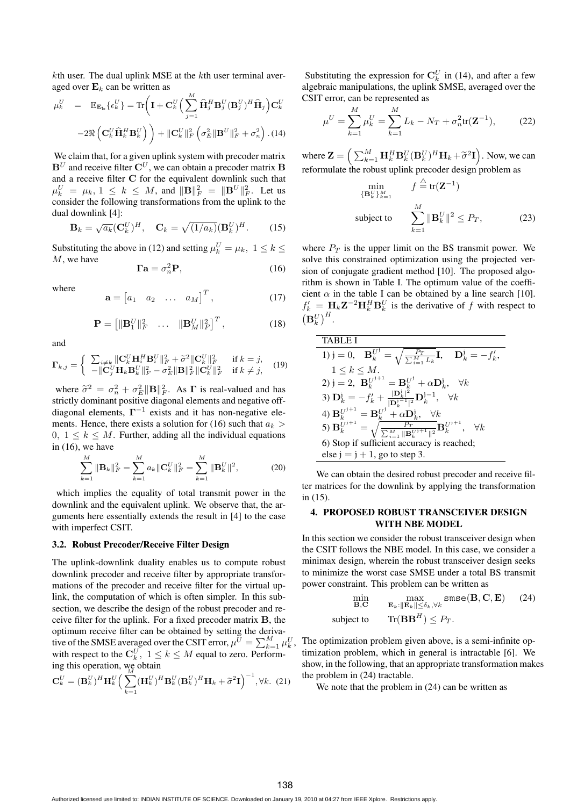$k$ th user. The dual uplink MSE at the  $k$ th user terminal averaged over  $\mathbf{E}_k$  can be written as

$$
\mu_k^U = \mathbb{E}_{\mathbf{E}_{\mathbf{k}}} \{ \epsilon_k^U \} = \text{Tr} \left( \mathbf{I} + \mathbf{C}_k^U \left( \sum_{j=1}^M \hat{\mathbf{H}}_j^H \mathbf{B}_j^U (\mathbf{B}_j^U)^H \hat{\mathbf{H}}_j \right) \mathbf{C}_k^U \right)
$$

$$
-2 \Re \left( \mathbf{C}_k^U \hat{\mathbf{H}}_k^H \mathbf{B}_k^U \right) + ||\mathbf{C}_k^U||_F^2 \left( \sigma_E^2 ||\mathbf{B}^U||_F^2 + \sigma_n^2 \right). (14)
$$

We claim that, for a given uplink system with precoder matrix  $\mathbf{B}^U$  and receive filter  $\mathbf{C}^U$ , we can obtain a precoder matrix  $\mathbf{B}$ and a receive filter **C** for the equivalent downlink such that  $\mu_k^U = \mu_k, 1 \leq k \leq M$ , and  $\|\mathbf{B}\|_F^2 = \|\mathbf{B}^U\|_F^2$ . Let us consider the following transformations from the uplink to the dual downlink [4]:

$$
\mathbf{B}_k = \sqrt{a_k} (\mathbf{C}_k^U)^H, \quad \mathbf{C}_k = \sqrt{(1/a_k)} (\mathbf{B}_k^U)^H. \tag{15}
$$

Substituting the above in (12) and setting  $\mu_k^U = \mu_k$ ,  $1 \leq k \leq$ M, we have

$$
\Gamma \mathbf{a} = \sigma_n^2 \mathbf{P},\tag{16}
$$

where

$$
\mathbf{a} = \begin{bmatrix} a_1 & a_2 & \dots & a_M \end{bmatrix}^T, \tag{17}
$$

$$
\mathbf{P} = \begin{bmatrix} \|\mathbf{B}_1^U\|_F^2 & \dots & \|\mathbf{B}_M^U\|_F^2 \end{bmatrix}^T, \tag{18}
$$

and

$$
\mathbf{\Gamma}_{k,j} = \begin{cases} \sum_{i \neq k} ||\mathbf{C}_{k}^{U} \mathbf{H}_{i}^{H} \mathbf{B}_{i}^{U}||_{F}^{2} + \tilde{\sigma}^{2} ||\mathbf{C}_{k}^{U}||_{F}^{2} & \text{if } k = j, \\ -||\mathbf{C}_{j}^{U} \mathbf{H}_{k} \mathbf{B}_{k}^{U}||_{F}^{2} - \sigma_{E}^{2} ||\mathbf{B}||_{F}^{2} ||\mathbf{C}_{k}^{U}||_{F}^{2} & \text{if } k \neq j, \end{cases} (19)
$$

where  $\tilde{\sigma}^2 = \sigma_n^2 + \sigma_E^2 \|\mathbf{B}\|_F^2$ . As **Γ** is real-valued and has strictly dominant positive diagonal elements and negative offdiagonal elements,  $\Gamma$ <sup>−1</sup> exists and it has non-negative elements. Hence, there exists a solution for (16) such that  $a_k$ 0,  $1 \leq k \leq M$ . Further, adding all the individual equations in (16), we have

$$
\sum_{k=1}^{M} \|\mathbf{B}_k\|_F^2 = \sum_{k=1}^{M} a_k \|\mathbf{C}_k^U\|_F^2 = \sum_{k=1}^{M} \|\mathbf{B}_k^U\|^2,
$$
 (20)

which implies the equality of total transmit power in the downlink and the equivalent uplink. We observe that, the arguments here essentially extends the result in [4] to the case with imperfect CSIT.

### **3.2. Robust Precoder/Receive Filter Design**

The uplink-downlink duality enables us to compute robust downlink precoder and receive filter by appropriate transformations of the precoder and receive filter for the virtual uplink, the computation of which is often simpler. In this subsection, we describe the design of the robust precoder and receive filter for the uplink. For a fixed precoder matrix **B**, the optimum receive filter can be obtained by setting the derivative of the SMSE averaged over the CSIT error,  $\mu^{\tilde{U}} = \sum_{k=1}^{M} \mu_k^U$ , with respect to the  $\mathbf{C}_k^U, 1 \le k \le M$  equal to zero. Performing this operation, we obtain

$$
\mathbf{C}_{k}^{U} = (\mathbf{B}_{k}^{U})^{H} \mathbf{H}_{k}^{U} \left( \sum_{k=1}^{M} (\mathbf{H}_{k}^{U})^{H} \mathbf{B}_{k}^{U} (\mathbf{B}_{k}^{U})^{H} \mathbf{H}_{k} + \tilde{\sigma}^{2} \mathbf{I} \right)^{-1}, \forall k. (21)
$$

Substituting the expression for  $\mathbf{C}_k^U$  in (14), and after a few algebraic manipulations, the uplink SMSE, averaged over the CSIT error, can be represented as

$$
\mu^U = \sum_{k=1}^{M} \mu_k^U = \sum_{k=1}^{M} L_k - N_T + \sigma_n^2 \text{tr}(\mathbf{Z}^{-1}), \quad (22)
$$

where  $\mathbf{Z} = \left( \sum_{k=1}^{M} \mathbf{H}_{k}^{H} \mathbf{B}_{k}^{U} (\mathbf{B}_{k}^{U})^{H} \mathbf{H}_{k} + \tilde{\sigma}^{2} \mathbf{I} \right)$ . Now, we can reformulate the robust uplink precoder design problem as

$$
\min_{\{\mathbf{B}_{k}^{U}\}_{k=1}^{M}} f \stackrel{\triangle}{=} \text{tr}(\mathbf{Z}^{-1})
$$
\n
$$
\text{subject to} \qquad \sum_{k=1}^{M} \|\mathbf{B}_{k}^{U}\|^{2} \leq P_{T},\tag{23}
$$

where  $P_T$  is the upper limit on the BS transmit power. We solve this constrained optimization using the projected version of conjugate gradient method [10]. The proposed algorithm is shown in Table I. The optimum value of the coefficient  $\alpha$  in the table I can be obtained by a line search [10].  $f'_{k} = \mathbf{H}_{k} \mathbf{Z}^{-2} \mathbf{H}_{k}^{H} \mathbf{B}_{k}^{U}$  is the derivative of f with respect to  $\left(\mathbf{B}^U_k\right)^H$ .

**TABLE I**  
\n1) j = 0, 
$$
\mathbf{B}_k^{U^j} = \sqrt{\frac{P_T}{\sum_{i=1}^M L_k}} \mathbf{I}, \quad \mathbf{D}_k^j = -f'_k,
$$
  
\n1  $\leq k \leq M.$   
\n2) j = 2,  $\mathbf{B}_k^{U^{j+1}} = \mathbf{B}_k^{U^j} + \alpha \mathbf{D}_k^j, \quad \forall k$   
\n3)  $\mathbf{D}_k^1 = -f'_k + \frac{|\mathbf{D}_k^1|^2}{|\mathbf{D}_k^{j-1}|^2} \mathbf{D}_k^{j-1}, \quad \forall k$   
\n4)  $\mathbf{B}_k^{U^{j+1}} = \mathbf{B}_k^{U^j} + \alpha \mathbf{D}_k^j, \quad \forall k$   
\n5)  $\mathbf{B}_k^{U^{j+1}} = \sqrt{\frac{P_T}{\sum_{i=1}^M ||\mathbf{B}_k^{U^{j+1}}||^2}} \mathbf{B}_k^{U^{j+1}}, \quad \forall k$   
\n6) Stop if sufficient accuracy is reached;  
\nelse j = j + 1, go to step 3.

We can obtain the desired robust precoder and receive filter matrices for the downlink by applying the transformation in (15).

# **4. PROPOSED ROBUST TRANSCEIVER DESIGN WITH NBE MODEL**

In this section we consider the robust transceiver design when the CSIT follows the NBE model. In this case, we consider a minimax design, wherein the robust transceiver design seeks to minimize the worst case SMSE under a total BS transmit power constraint. This problem can be written as

$$
\min_{\mathbf{B}, \mathbf{C}} \max_{\mathbf{E}_k: \|\mathbf{E}_k\| \le \delta_k, \forall k} \text{smse}(\mathbf{B}, \mathbf{C}, \mathbf{E}) \tag{24}
$$
\n
$$
\text{subject to} \qquad \text{Tr}(\mathbf{B}\mathbf{B}^H) \le P_T.
$$

The optimization problem given above, is a semi-infinite optimization problem, which in general is intractable [6]. We show, in the following, that an appropriate transformation makes the problem in (24) tractable.

We note that the problem in  $(24)$  can be written as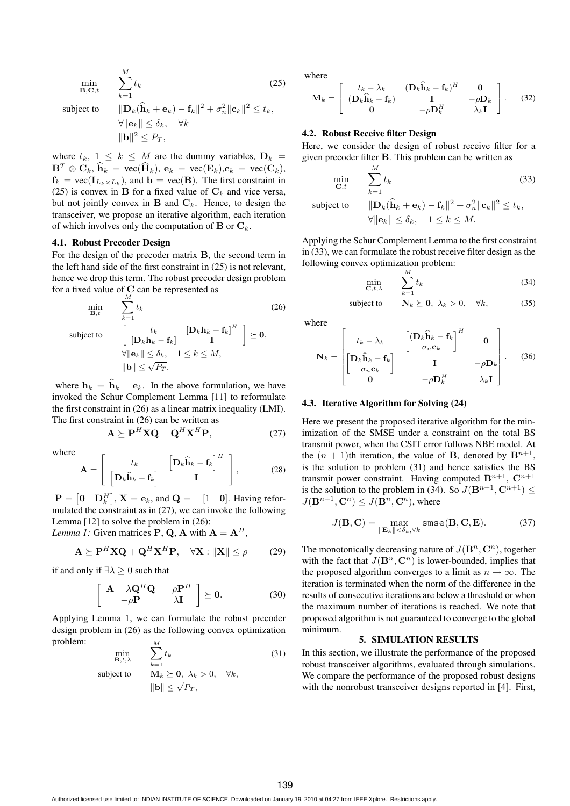$$
\min_{\mathbf{B},\mathbf{C},t} \qquad \sum_{k=1}^{M} t_k \tag{25}
$$

subject to

$$
\begin{aligned} & \|\mathbf{D}_k(\widehat{\mathbf{h}}_k + \mathbf{e}_k) - \mathbf{f}_k\|^2 + \sigma_n^2 \|\mathbf{c}_k\|^2 \le t_k, \\ & \forall \|\mathbf{e}_k\| \le \delta_k, \quad \forall k \\ & \|\mathbf{b}\|^2 \le P_T, \end{aligned}
$$

where  $t_k$ ,  $1 \leq k \leq M$  are the dummy variables,  $D_k =$  $\mathbf{B}^T \otimes \mathbf{C}_k$ ,  $\hat{\mathbf{h}}_k = \text{vec}(\hat{\mathbf{H}}_k)$ ,  $\mathbf{e}_k = \text{vec}(\mathbf{E}_k)$ ,  $\mathbf{c}_k = \text{vec}(\mathbf{C}_k)$ ,  $f_k = \text{vec}(\mathbf{I}_{L_k \times L_k})$ , and  $\mathbf{b} = \text{vec}(\mathbf{B})$ . The first constraint in (25) is convex in **B** for a fixed value of  $C_k$  and vice versa, but not jointly convex in  $B$  and  $C_k$ . Hence, to design the transceiver, we propose an iterative algorithm, each iteration of which involves only the computation of **B** or  $\mathbf{C}_k$ .

#### **4.1. Robust Precoder Design**

For the design of the precoder matrix **B**, the second term in the left hand side of the first constraint in (25) is not relevant, hence we drop this term. The robust precoder design problem for a fixed value of **C** can be represented as

$$
\min_{\mathbf{B},t} \qquad \sum_{k=1}^{M} t_k \qquad (26)
$$
\n
$$
\text{subject to} \qquad \begin{bmatrix} t_k & [\mathbf{D}_k \mathbf{h}_k - \mathbf{f}_k]^H \\ [\mathbf{D}_k \mathbf{h}_k - \mathbf{f}_k] & \mathbf{I} \end{bmatrix} \succeq \mathbf{0},
$$
\n
$$
\forall \|\mathbf{e}_k\| \le \delta_k, \quad 1 \le k \le M,
$$
\n
$$
\|\mathbf{b}\| \le \sqrt{P_T},
$$

where  $h_k = h_k + e_k$ . In the above formulation, we have invoked the Schur Complement Lemma [11] to reformulate the first constraint in (26) as a linear matrix inequality (LMI). The first constraint in (26) can be written as

$$
\mathbf{A} \succeq \mathbf{P}^H \mathbf{X} \mathbf{Q} + \mathbf{Q}^H \mathbf{X}^H \mathbf{P},\tag{27}
$$

where

$$
\mathbf{A} = \begin{bmatrix} t_k & \left[ \mathbf{D}_k \hat{\mathbf{h}}_k - \mathbf{f}_k \right]^H \\ \left[ \mathbf{D}_k \hat{\mathbf{h}}_k - \mathbf{f}_k \right] & \mathbf{I} \end{bmatrix}, \tag{28}
$$

 $\mathbf{P} = \begin{bmatrix} 0 & \mathbf{D}_k^H \end{bmatrix}$ ,  $\mathbf{X} = \mathbf{e}_k$ , and  $\mathbf{Q} = -\begin{bmatrix} 1 & 0 \end{bmatrix}$ . Having reformulated the constraint as in (27), we can invoke the following Lemma [12] to solve the problem in (26):

*Lemma 1:* Given matrices **P**, **Q**, **A** with  $A = A^H$ ,

$$
\mathbf{A} \succeq \mathbf{P}^H \mathbf{X} \mathbf{Q} + \mathbf{Q}^H \mathbf{X}^H \mathbf{P}, \quad \forall \mathbf{X} : \|\mathbf{X}\| \le \rho \tag{29}
$$

if and only if  $\exists \lambda \geq 0$  such that

$$
\begin{bmatrix}\n\mathbf{A} - \lambda \mathbf{Q}^H \mathbf{Q} & -\rho \mathbf{P}^H \\
-\rho \mathbf{P} & \lambda \mathbf{I}\n\end{bmatrix} \succeq 0.
$$
\n(30)

Applying Lemma 1, we can formulate the robust precoder design problem in (26) as the following convex optimization problem: M

 $\|\mathbf{b}\| \leq \sqrt{P_T}$ .

$$
\min_{\mathbf{B},t,\lambda} \sum_{k=1}^{M} t_k
$$
\nsubject to

\n
$$
\mathbf{M}_k \succeq \mathbf{0}, \lambda_k > 0, \forall k,
$$
\n(31)

where

$$
\mathbf{M}_{k} = \left[ \begin{array}{cc} t_{k} - \lambda_{k} & (\mathbf{D}_{k} \widehat{\mathbf{h}}_{k} - \mathbf{f}_{k})^{H} & \mathbf{0} \\ (\mathbf{D}_{k} \widehat{\mathbf{h}}_{k} - \mathbf{f}_{k}) & \mathbf{I} & -\rho \mathbf{D}_{k} \\ \mathbf{0} & -\rho \mathbf{D}_{k}^{H} & \lambda_{k} \mathbf{I} \end{array} \right].
$$
 (32)

# **4.2. Robust Receive filter Design**

Here, we consider the design of robust receive filter for a given precoder filter **B**. This problem can be written as

$$
\min_{\mathbf{C},t} \qquad \sum_{k=1}^{M} t_k \tag{33}
$$
\n
$$
\text{subject to} \qquad \|\mathbf{D}_k(\hat{\mathbf{h}}_k + \mathbf{e}_k) - \mathbf{f}_k\|^2 + \sigma_n^2 \|\mathbf{c}_k\|^2 \le t_k,
$$

$$
\forall \|\mathbf{e}_k\| \le \delta_k, \quad 1 \le k \le M.
$$

Applying the Schur Complement Lemma to the first constraint in (33), we can formulate the robust receive filter design as the following convex optimization problem:

$$
\min_{\mathbf{C},t,\lambda} \qquad \sum_{k=1}^{M} t_k \tag{34}
$$

subject to 
$$
\mathbf{N}_k \succeq \mathbf{0}, \ \lambda_k > 0, \ \forall k,
$$
 (35)

where

$$
\mathbf{N}_{k} = \begin{bmatrix} t_{k} - \lambda_{k} & \begin{bmatrix} (\mathbf{D}_{k}\widehat{\mathbf{h}}_{k} - \mathbf{f}_{k} \end{bmatrix}^{H} & \mathbf{0} \\ \begin{bmatrix} \mathbf{D}_{k}\widehat{\mathbf{h}}_{k} - \mathbf{f}_{k} \\ \sigma_{n}\mathbf{c}_{k} \end{bmatrix} & \mathbf{I} & -\rho\mathbf{D}_{k} \\ \mathbf{0} & -\rho\mathbf{D}_{k}^{H} & \lambda_{k}\mathbf{I} \end{bmatrix} . \tag{36}
$$

### **4.3. Iterative Algorithm for Solving (24)**

Here we present the proposed iterative algorithm for the minimization of the SMSE under a constraint on the total BS transmit power, when the CSIT error follows NBE model. At the  $(n + 1)$ th iteration, the value of **B**, denoted by  $\mathbf{B}^{n+1}$ , is the solution to problem (31) and hence satisfies the BS transmit power constraint. Having computed  $\mathbf{B}^{n+1}$ ,  $\mathbf{C}^{n+1}$ is the solution to the problem in (34). So  $J(\mathbf{B}^{n+1}, \mathbf{C}^{n+1}) \leq$  $J(\mathbf{B}^{n+1}, \mathbf{C}^n) \leq J(\mathbf{B}^n, \mathbf{C}^n)$ , where

$$
J(\mathbf{B}, \mathbf{C}) = \max_{\|\mathbf{E}_k\| < \delta_k, \forall k} \text{smse}(\mathbf{B}, \mathbf{C}, \mathbf{E}).
$$
 (37)

The monotonically decreasing nature of  $J(\mathbf{B}^n, \mathbf{C}^n)$ , together with the fact that  $J(\mathbf{B}^n, \mathbf{C}^n)$  is lower-bounded, implies that the proposed algorithm converges to a limit as  $n \to \infty$ . The iteration is terminated when the norm of the difference in the results of consecutive iterations are below a threshold or when the maximum number of iterations is reached. We note that proposed algorithm is not guaranteed to converge to the global minimum.

# **5. SIMULATION RESULTS**

In this section, we illustrate the performance of the proposed robust transceiver algorithms, evaluated through simulations. We compare the performance of the proposed robust designs with the nonrobust transceiver designs reported in [4]. First,